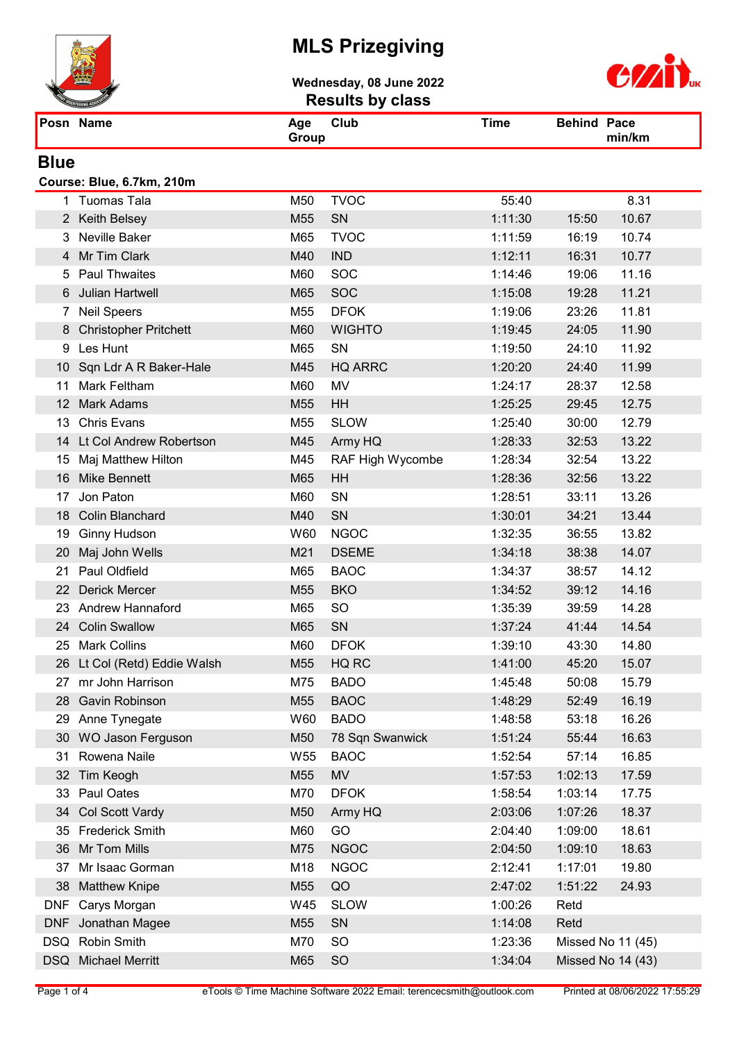

Wednesday, 08 June 2022 Results by class



| $\sim$    | $\sim$                      |      |                              |
|-----------|-----------------------------|------|------------------------------|
| Posn Name | Club<br>Aqe<br><b>Group</b> | Time | <b>Behind Pace</b><br>min/km |

#### **Blue**

#### Course: Blue, 6.7km, 210m

|            | 1 Tuomas Tala              | M50             | <b>TVOC</b>      | 55:40   |                   | 8.31  |
|------------|----------------------------|-----------------|------------------|---------|-------------------|-------|
|            | 2 Keith Belsey             | M55             | SN               | 1:11:30 | 15:50             | 10.67 |
| 3          | Neville Baker              | M65             | <b>TVOC</b>      | 1:11:59 | 16:19             | 10.74 |
|            | 4 Mr Tim Clark             | M40             | <b>IND</b>       | 1:12:11 | 16:31             | 10.77 |
| 5          | <b>Paul Thwaites</b>       | M60             | <b>SOC</b>       | 1:14:46 | 19:06             | 11.16 |
|            | 6 Julian Hartwell          | M65             | <b>SOC</b>       | 1:15:08 | 19:28             | 11.21 |
|            | 7 Neil Speers              | M55             | <b>DFOK</b>      | 1:19:06 | 23:26             | 11.81 |
|            | 8 Christopher Pritchett    | M60             | <b>WIGHTO</b>    | 1:19:45 | 24:05             | 11.90 |
| 9          | Les Hunt                   | M65             | SN               | 1:19:50 | 24:10             | 11.92 |
|            | 10 Sqn Ldr A R Baker-Hale  | M45             | <b>HQ ARRC</b>   | 1:20:20 | 24:40             | 11.99 |
| 11         | <b>Mark Feltham</b>        | M60             | MV               | 1:24:17 | 28:37             | 12.58 |
|            | 12 Mark Adams              | M55             | HH               | 1:25:25 | 29:45             | 12.75 |
|            | 13 Chris Evans             | M55             | <b>SLOW</b>      | 1:25:40 | 30:00             | 12.79 |
|            | 14 Lt Col Andrew Robertson | M45             | Army HQ          | 1:28:33 | 32:53             | 13.22 |
| 15         | Maj Matthew Hilton         | M45             | RAF High Wycombe | 1:28:34 | 32:54             | 13.22 |
| 16         | Mike Bennett               | M65             | <b>HH</b>        | 1:28:36 | 32:56             | 13.22 |
| 17         | Jon Paton                  | M60             | SN               | 1:28:51 | 33:11             | 13.26 |
|            | 18 Colin Blanchard         | M40             | SN               | 1:30:01 | 34:21             | 13.44 |
| 19         | Ginny Hudson               | W60             | <b>NGOC</b>      | 1:32:35 | 36:55             | 13.82 |
| 20         | Maj John Wells             | M21             | <b>DSEME</b>     | 1:34:18 | 38:38             | 14.07 |
| 21         | <b>Paul Oldfield</b>       | M65             | <b>BAOC</b>      | 1:34:37 | 38:57             | 14.12 |
|            | 22 Derick Mercer           | M55             | <b>BKO</b>       | 1:34:52 | 39:12             | 14.16 |
|            | 23 Andrew Hannaford        | M65             | <b>SO</b>        | 1:35:39 | 39:59             | 14.28 |
|            | 24 Colin Swallow           | M65             | SN               | 1:37:24 | 41:44             | 14.54 |
| 25         | <b>Mark Collins</b>        | M60             | <b>DFOK</b>      | 1:39:10 | 43:30             | 14.80 |
| 26         | Lt Col (Retd) Eddie Walsh  | M55             | HQ RC            | 1:41:00 | 45:20             | 15.07 |
|            | 27 mr John Harrison        | M75             | <b>BADO</b>      | 1:45:48 | 50:08             | 15.79 |
| 28         | Gavin Robinson             | M55             | <b>BAOC</b>      | 1:48:29 | 52:49             | 16.19 |
|            | 29 Anne Tynegate           | W60             | <b>BADO</b>      | 1:48:58 | 53:18             | 16.26 |
|            | 30 WO Jason Ferguson       | M50             | 78 Sqn Swanwick  | 1:51:24 | 55:44             | 16.63 |
| 31         | Rowena Naile               | W <sub>55</sub> | <b>BAOC</b>      | 1:52:54 | 57:14             | 16.85 |
| 32         | Tim Keogh                  | M55             | <b>MV</b>        | 1:57:53 | 1:02:13           | 17.59 |
| 33         | Paul Oates                 | M70             | <b>DFOK</b>      | 1:58:54 | 1:03:14           | 17.75 |
| 34         | <b>Col Scott Vardy</b>     | M50             | Army HQ          | 2:03:06 | 1:07:26           | 18.37 |
|            | 35 Frederick Smith         | M60             | GO               | 2:04:40 | 1:09:00           | 18.61 |
| 36         | Mr Tom Mills               | M75             | <b>NGOC</b>      | 2:04:50 | 1:09:10           | 18.63 |
| 37         | Mr Isaac Gorman            | M18             | <b>NGOC</b>      | 2:12:41 | 1:17:01           | 19.80 |
| 38         | <b>Matthew Knipe</b>       | M55             | QO               | 2:47:02 | 1:51:22           | 24.93 |
| <b>DNF</b> | Carys Morgan               | W45             | <b>SLOW</b>      | 1:00:26 | Retd              |       |
| <b>DNF</b> | Jonathan Magee             | M55             | SN               | 1:14:08 | Retd              |       |
|            | DSQ Robin Smith            | M70             | SO               | 1:23:36 | Missed No 11 (45) |       |
|            | DSQ Michael Merritt        | M65             | <b>SO</b>        | 1:34:04 | Missed No 14 (43) |       |
|            |                            |                 |                  |         |                   |       |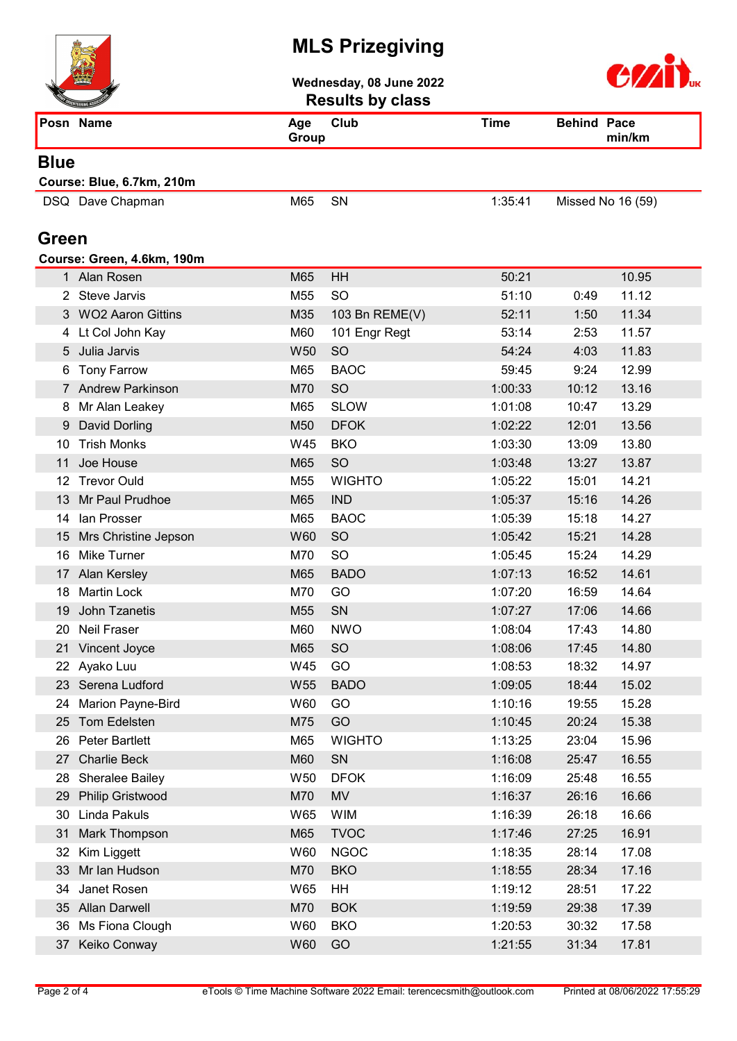

Wednesday, 08 June 2022 Results by class



|              | <b>NITEERING ASSOCIA</b>   |              | Results by Class |             |                    |        |
|--------------|----------------------------|--------------|------------------|-------------|--------------------|--------|
|              | Posn Name                  | Age<br>Group | Club             | <b>Time</b> | <b>Behind Pace</b> | min/km |
| <b>Blue</b>  |                            |              |                  |             |                    |        |
|              | Course: Blue, 6.7km, 210m  |              |                  |             |                    |        |
|              | DSQ Dave Chapman           | M65          | SN               | 1:35:41     | Missed No 16 (59)  |        |
| <b>Green</b> |                            |              |                  |             |                    |        |
|              | Course: Green, 4.6km, 190m |              |                  |             |                    |        |
|              | 1 Alan Rosen               | M65          | HH               | 50:21       |                    | 10.95  |
|              | 2 Steve Jarvis             | M55          | <b>SO</b>        | 51:10       | 0:49               | 11.12  |
|              | 3 WO2 Aaron Gittins        | M35          | 103 Bn REME(V)   | 52:11       | 1:50               | 11.34  |
|              | 4 Lt Col John Kay          | M60          | 101 Engr Regt    | 53:14       | 2:53               | 11.57  |
|              | 5 Julia Jarvis             | W50          | SO               | 54:24       | 4:03               | 11.83  |
|              | 6 Tony Farrow              | M65          | <b>BAOC</b>      | 59:45       | 9:24               | 12.99  |
|              | 7 Andrew Parkinson         | M70          | SO               | 1:00:33     | 10:12              | 13.16  |
|              | Mr Alan Leakey             | M65          | <b>SLOW</b>      | 1:01:08     | 10:47              | 13.29  |
| 9            | David Dorling              | M50          | <b>DFOK</b>      | 1:02:22     | 12:01              | 13.56  |
| 10           | <b>Trish Monks</b>         | W45          | <b>BKO</b>       | 1:03:30     | 13:09              | 13.80  |
| 11           | Joe House                  | M65          | SO               | 1:03:48     | 13:27              | 13.87  |
|              | 12 Trevor Ould             | M55          | <b>WIGHTO</b>    | 1:05:22     | 15:01              | 14.21  |
| 13           | Mr Paul Prudhoe            | M65          | <b>IND</b>       | 1:05:37     | 15:16              | 14.26  |
| 14           | Ian Prosser                | M65          | <b>BAOC</b>      | 1:05:39     | 15:18              | 14.27  |
| 15           | Mrs Christine Jepson       | W60          | <b>SO</b>        | 1:05:42     | 15:21              | 14.28  |
| 16           | <b>Mike Turner</b>         | M70          | <b>SO</b>        | 1:05:45     | 15:24              | 14.29  |
|              | 17 Alan Kersley            | M65          | <b>BADO</b>      | 1:07:13     | 16:52              | 14.61  |
| 18           | <b>Martin Lock</b>         | M70          | GO               | 1:07:20     | 16:59              | 14.64  |
| 19           | John Tzanetis              | M55          | SN               | 1:07:27     | 17:06              | 14.66  |
| 20           | Neil Fraser                | M60          | <b>NWO</b>       | 1:08:04     | 17:43              | 14.80  |
|              | 21 Vincent Joyce           | M65          | <b>SO</b>        | 1:08:06     | 17:45              | 14.80  |
|              | 22 Ayako Luu               | W45          | GO               | 1:08:53     | 18:32              | 14.97  |
|              | 23 Serena Ludford          | W55          | <b>BADO</b>      | 1:09:05     | 18:44              | 15.02  |
| 24           | Marion Payne-Bird          | W60          | GO               | 1:10:16     | 19:55              | 15.28  |
| 25           | Tom Edelsten               | M75          | GO               | 1:10:45     | 20:24              | 15.38  |
| 26           | <b>Peter Bartlett</b>      | M65          | <b>WIGHTO</b>    | 1:13:25     | 23:04              | 15.96  |
| 27           | Charlie Beck               | M60          | SN               | 1:16:08     | 25:47              | 16.55  |
| 28           | Sheralee Bailey            | W50          | <b>DFOK</b>      | 1:16:09     | 25:48              | 16.55  |
| 29           | <b>Philip Gristwood</b>    | M70          | <b>MV</b>        | 1:16:37     | 26:16              | 16.66  |
| 30           | Linda Pakuls               | W65          | <b>WIM</b>       | 1:16:39     | 26:18              | 16.66  |
| 31           | Mark Thompson              | M65          | <b>TVOC</b>      | 1:17:46     | 27:25              | 16.91  |
| 32           | Kim Liggett                | W60          | <b>NGOC</b>      | 1:18:35     | 28:14              | 17.08  |
| 33           | Mr Ian Hudson              | M70          | <b>BKO</b>       | 1:18:55     | 28:34              | 17.16  |
| 34           | Janet Rosen                | W65          | HH               | 1:19:12     | 28:51              | 17.22  |
|              | 35 Allan Darwell           | M70          | <b>BOK</b>       | 1:19:59     | 29:38              | 17.39  |
| 36           | Ms Fiona Clough            | W60          | <b>BKO</b>       | 1:20:53     | 30:32              | 17.58  |
| 37           | Keiko Conway               | W60          | GO               | 1:21:55     | 31:34              | 17.81  |
|              |                            |              |                  |             |                    |        |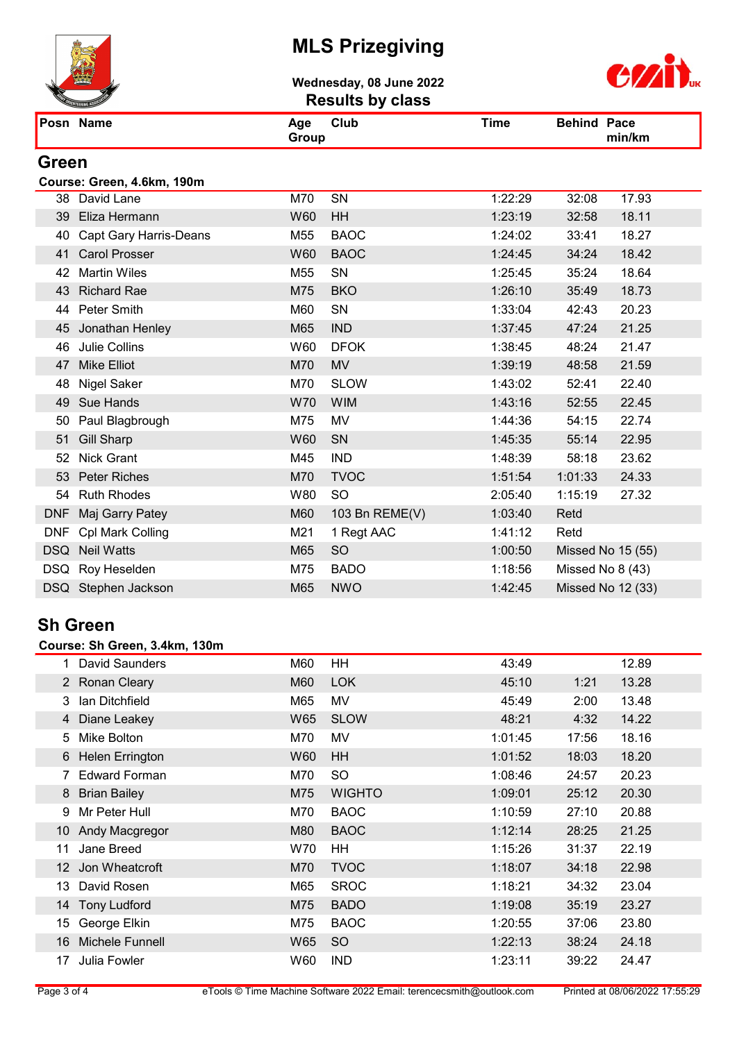

Wednesday, 08 June 2022 Results by class



|            | Posn Name                     | Age<br>Group    | Club           | <b>Time</b> | <b>Behind Pace</b> | min/km            |
|------------|-------------------------------|-----------------|----------------|-------------|--------------------|-------------------|
| Green      |                               |                 |                |             |                    |                   |
|            | Course: Green, 4.6km, 190m    |                 |                |             |                    |                   |
|            | 38 David Lane                 | M70             | SN             | 1:22:29     | 32:08              | 17.93             |
|            | 39 Eliza Hermann              | <b>W60</b>      | HH             | 1:23:19     | 32:58              | 18.11             |
| 40         | <b>Capt Gary Harris-Deans</b> | M <sub>55</sub> | <b>BAOC</b>    | 1:24:02     | 33:41              | 18.27             |
| 41         | <b>Carol Prosser</b>          | W60             | <b>BAOC</b>    | 1:24:45     | 34:24              | 18.42             |
| 42         | <b>Martin Wiles</b>           | M55             | SN             | 1:25:45     | 35:24              | 18.64             |
| 43         | <b>Richard Rae</b>            | M75             | <b>BKO</b>     | 1:26:10     | 35:49              | 18.73             |
|            | 44 Peter Smith                | M60             | SN             | 1:33:04     | 42:43              | 20.23             |
| 45         | Jonathan Henley               | M65             | <b>IND</b>     | 1:37:45     | 47:24              | 21.25             |
| 46         | Julie Collins                 | W60             | <b>DFOK</b>    | 1:38:45     | 48:24              | 21.47             |
| 47         | <b>Mike Elliot</b>            | M70             | <b>MV</b>      | 1:39:19     | 48:58              | 21.59             |
| 48         | <b>Nigel Saker</b>            | M70             | <b>SLOW</b>    | 1:43:02     | 52:41              | 22.40             |
| 49         | Sue Hands                     | W70             | <b>WIM</b>     | 1:43:16     | 52:55              | 22.45             |
| 50         | Paul Blagbrough               | M75             | <b>MV</b>      | 1:44:36     | 54:15              | 22.74             |
| 51         | <b>Gill Sharp</b>             | W60             | SN             | 1:45:35     | 55:14              | 22.95             |
| 52         | <b>Nick Grant</b>             | M45             | <b>IND</b>     | 1:48:39     | 58:18              | 23.62             |
| 53         | <b>Peter Riches</b>           | M70             | <b>TVOC</b>    | 1:51:54     | 1:01:33            | 24.33             |
| 54         | <b>Ruth Rhodes</b>            | W80             | <b>SO</b>      | 2:05:40     | 1:15:19            | 27.32             |
| <b>DNF</b> | Maj Garry Patey               | M60             | 103 Bn REME(V) | 1:03:40     | Retd               |                   |
| <b>DNF</b> | Cpl Mark Colling              | M21             | 1 Regt AAC     | 1:41:12     | Retd               |                   |
| <b>DSQ</b> | <b>Neil Watts</b>             | M65             | <b>SO</b>      | 1:00:50     |                    | Missed No 15 (55) |
|            | DSQ Roy Heselden              | M75             | <b>BADO</b>    | 1:18:56     |                    | Missed No 8 (43)  |
|            | DSQ Stephen Jackson           | M65             | <b>NWO</b>     | 1:42:45     |                    | Missed No 12 (33) |

#### Sh Green

#### Course: Sh Green, 3.4km, 130m

|                 | <b>David Saunders</b> | M60 | HH            | 43:49   |       | 12.89 |
|-----------------|-----------------------|-----|---------------|---------|-------|-------|
|                 | 2 Ronan Cleary        | M60 | <b>LOK</b>    | 45:10   | 1:21  | 13.28 |
| 3               | Ian Ditchfield        | M65 | MV            | 45:49   | 2:00  | 13.48 |
|                 | 4 Diane Leakey        | W65 | <b>SLOW</b>   | 48:21   | 4:32  | 14.22 |
| 5               | Mike Bolton           | M70 | MV            | 1:01:45 | 17:56 | 18.16 |
|                 | 6 Helen Errington     | W60 | HH            | 1:01:52 | 18:03 | 18.20 |
|                 | 7 Edward Forman       | M70 | <b>SO</b>     | 1:08:46 | 24:57 | 20.23 |
|                 | 8 Brian Bailey        | M75 | <b>WIGHTO</b> | 1:09:01 | 25:12 | 20.30 |
| 9               | Mr Peter Hull         | M70 | <b>BAOC</b>   | 1:10:59 | 27:10 | 20.88 |
|                 | 10 Andy Macgregor     | M80 | <b>BAOC</b>   | 1:12:14 | 28:25 | 21.25 |
| 11              | Jane Breed            | W70 | HH            | 1:15:26 | 31:37 | 22.19 |
| 12 <sup>°</sup> | Jon Wheatcroft        | M70 | <b>TVOC</b>   | 1:18:07 | 34:18 | 22.98 |
| 13              | David Rosen           | M65 | <b>SROC</b>   | 1:18:21 | 34:32 | 23.04 |
| 14              | <b>Tony Ludford</b>   | M75 | <b>BADO</b>   | 1:19:08 | 35:19 | 23.27 |
| 15              | George Elkin          | M75 | <b>BAOC</b>   | 1:20:55 | 37:06 | 23.80 |
| 16              | Michele Funnell       | W65 | <sub>SO</sub> | 1:22:13 | 38:24 | 24.18 |
| 17              | Julia Fowler          | W60 | <b>IND</b>    | 1:23:11 | 39:22 | 24.47 |